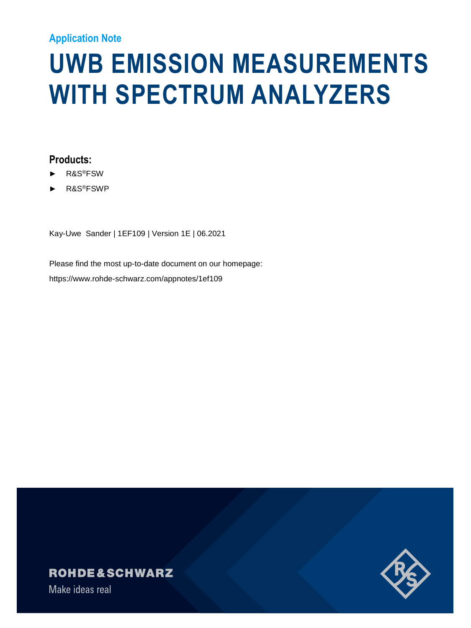#### **Application Note**

# **UWB EMISSION MEASUREMENTS WITH SPECTRUM ANALYZERS**

#### **Products:**

- ► R&S®FSW
- ► R&S®FSWP

Kay-Uwe Sander | 1EF109 | Version 1E | 06.2021

Please find the most up-to-date document on our homepage: https://www.rohde-schwarz.com/appnotes/1ef109

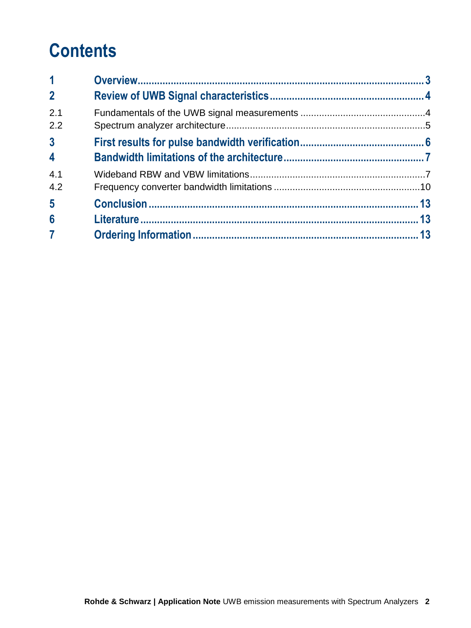# **Contents**

| $\mathbf 1$                               |  |
|-------------------------------------------|--|
| 2 <sup>1</sup>                            |  |
| 2.1<br>2.2                                |  |
| 3 <sup>1</sup><br>$\overline{\mathbf{4}}$ |  |
| 4.1<br>4.2                                |  |
| $5\phantom{.0}$                           |  |
| $6\phantom{a}$                            |  |
| $\overline{7}$                            |  |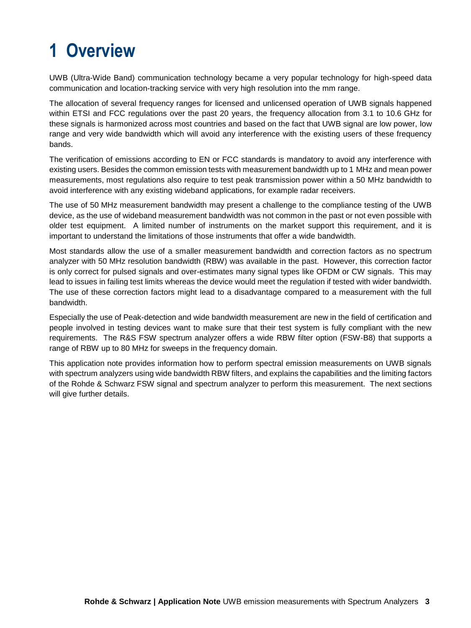# <span id="page-2-0"></span>**1 Overview**

UWB (Ultra-Wide Band) communication technology became a very popular technology for high-speed data communication and location-tracking service with very high resolution into the mm range.

The allocation of several frequency ranges for licensed and unlicensed operation of UWB signals happened within ETSI and FCC regulations over the past 20 years, the frequency allocation from 3.1 to 10.6 GHz for these signals is harmonized across most countries and based on the fact that UWB signal are low power, low range and very wide bandwidth which will avoid any interference with the existing users of these frequency bands.

The verification of emissions according to EN or FCC standards is mandatory to avoid any interference with existing users. Besides the common emission tests with measurement bandwidth up to 1 MHz and mean power measurements, most regulations also require to test peak transmission power within a 50 MHz bandwidth to avoid interference with any existing wideband applications, for example radar receivers.

The use of 50 MHz measurement bandwidth may present a challenge to the compliance testing of the UWB device, as the use of wideband measurement bandwidth was not common in the past or not even possible with older test equipment. A limited number of instruments on the market support this requirement, and it is important to understand the limitations of those instruments that offer a wide bandwidth.

Most standards allow the use of a smaller measurement bandwidth and correction factors as no spectrum analyzer with 50 MHz resolution bandwidth (RBW) was available in the past. However, this correction factor is only correct for pulsed signals and over-estimates many signal types like OFDM or CW signals. This may lead to issues in failing test limits whereas the device would meet the regulation if tested with wider bandwidth. The use of these correction factors might lead to a disadvantage compared to a measurement with the full bandwidth.

Especially the use of Peak-detection and wide bandwidth measurement are new in the field of certification and people involved in testing devices want to make sure that their test system is fully compliant with the new requirements. The R&S FSW spectrum analyzer offers a wide RBW filter option (FSW-B8) that supports a range of RBW up to 80 MHz for sweeps in the frequency domain.

This application note provides information how to perform spectral emission measurements on UWB signals with spectrum analyzers using wide bandwidth RBW filters, and explains the capabilities and the limiting factors of the Rohde & Schwarz FSW signal and spectrum analyzer to perform this measurement. The next sections will give further details.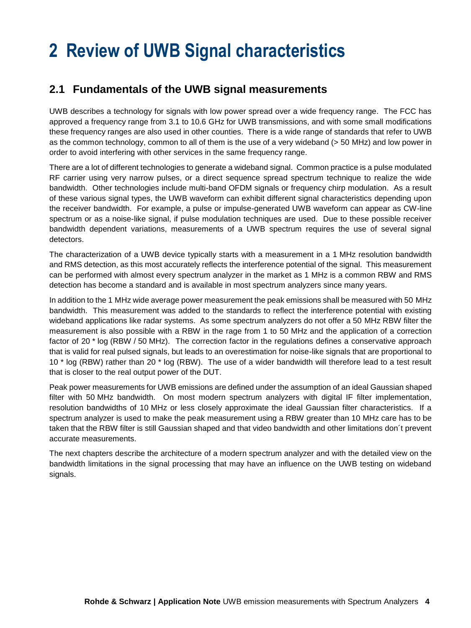### <span id="page-3-0"></span>**2 Review of UWB Signal characteristics**

#### <span id="page-3-1"></span>**2.1 Fundamentals of the UWB signal measurements**

UWB describes a technology for signals with low power spread over a wide frequency range. The FCC has approved a frequency range from 3.1 to 10.6 GHz for UWB transmissions, and with some small modifications these frequency ranges are also used in other counties. There is a wide range of standards that refer to UWB as the common technology, common to all of them is the use of a very wideband (> 50 MHz) and low power in order to avoid interfering with other services in the same frequency range.

There are a lot of different technologies to generate a wideband signal. Common practice is a pulse modulated RF carrier using very narrow pulses, or a direct sequence spread spectrum technique to realize the wide bandwidth. Other technologies include multi-band OFDM signals or frequency chirp modulation. As a result of these various signal types, the UWB waveform can exhibit different signal characteristics depending upon the receiver bandwidth. For example, a pulse or impulse-generated UWB waveform can appear as CW-line spectrum or as a noise-like signal, if pulse modulation techniques are used. Due to these possible receiver bandwidth dependent variations, measurements of a UWB spectrum requires the use of several signal detectors.

The characterization of a UWB device typically starts with a measurement in a 1 MHz resolution bandwidth and RMS detection, as this most accurately reflects the interference potential of the signal. This measurement can be performed with almost every spectrum analyzer in the market as 1 MHz is a common RBW and RMS detection has become a standard and is available in most spectrum analyzers since many years.

In addition to the 1 MHz wide average power measurement the peak emissions shall be measured with 50 MHz bandwidth. This measurement was added to the standards to reflect the interference potential with existing wideband applications like radar systems. As some spectrum analyzers do not offer a 50 MHz RBW filter the measurement is also possible with a RBW in the rage from 1 to 50 MHz and the application of a correction factor of 20 \* log (RBW / 50 MHz). The correction factor in the regulations defines a conservative approach that is valid for real pulsed signals, but leads to an overestimation for noise-like signals that are proportional to 10 \* log (RBW) rather than 20 \* log (RBW). The use of a wider bandwidth will therefore lead to a test result that is closer to the real output power of the DUT.

Peak power measurements for UWB emissions are defined under the assumption of an ideal Gaussian shaped filter with 50 MHz bandwidth. On most modern spectrum analyzers with digital IF filter implementation, resolution bandwidths of 10 MHz or less closely approximate the ideal Gaussian filter characteristics. If a spectrum analyzer is used to make the peak measurement using a RBW greater than 10 MHz care has to be taken that the RBW filter is still Gaussian shaped and that video bandwidth and other limitations don´t prevent accurate measurements.

The next chapters describe the architecture of a modern spectrum analyzer and with the detailed view on the bandwidth limitations in the signal processing that may have an influence on the UWB testing on wideband signals.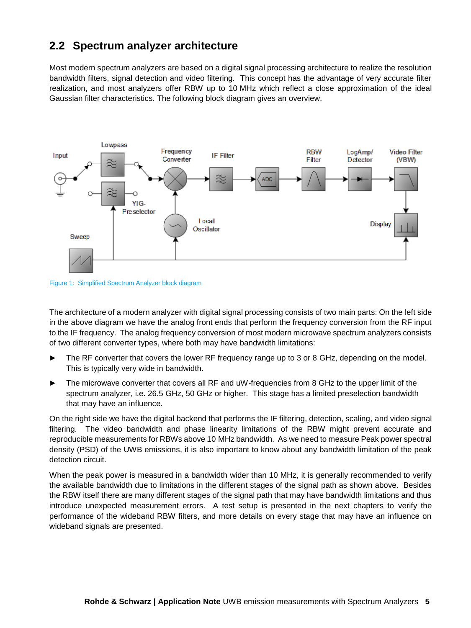#### <span id="page-4-0"></span>**2.2 Spectrum analyzer architecture**

Most modern spectrum analyzers are based on a digital signal processing architecture to realize the resolution bandwidth filters, signal detection and video filtering. This concept has the advantage of very accurate filter realization, and most analyzers offer RBW up to 10 MHz which reflect a close approximation of the ideal Gaussian filter characteristics. The following block diagram gives an overview.



Figure 1: Simplified Spectrum Analyzer block diagram

The architecture of a modern analyzer with digital signal processing consists of two main parts: On the left side in the above diagram we have the analog front ends that perform the frequency conversion from the RF input to the IF frequency. The analog frequency conversion of most modern microwave spectrum analyzers consists of two different converter types, where both may have bandwidth limitations:

- ► The RF converter that covers the lower RF frequency range up to 3 or 8 GHz, depending on the model. This is typically very wide in bandwidth.
- The microwave converter that covers all RF and uW-frequencies from 8 GHz to the upper limit of the spectrum analyzer, i.e. 26.5 GHz, 50 GHz or higher. This stage has a limited preselection bandwidth that may have an influence.

On the right side we have the digital backend that performs the IF filtering, detection, scaling, and video signal filtering. The video bandwidth and phase linearity limitations of the RBW might prevent accurate and reproducible measurements for RBWs above 10 MHz bandwidth. As we need to measure Peak power spectral density (PSD) of the UWB emissions, it is also important to know about any bandwidth limitation of the peak detection circuit.

When the peak power is measured in a bandwidth wider than 10 MHz, it is generally recommended to verify the available bandwidth due to limitations in the different stages of the signal path as shown above. Besides the RBW itself there are many different stages of the signal path that may have bandwidth limitations and thus introduce unexpected measurement errors. A test setup is presented in the next chapters to verify the performance of the wideband RBW filters, and more details on every stage that may have an influence on wideband signals are presented.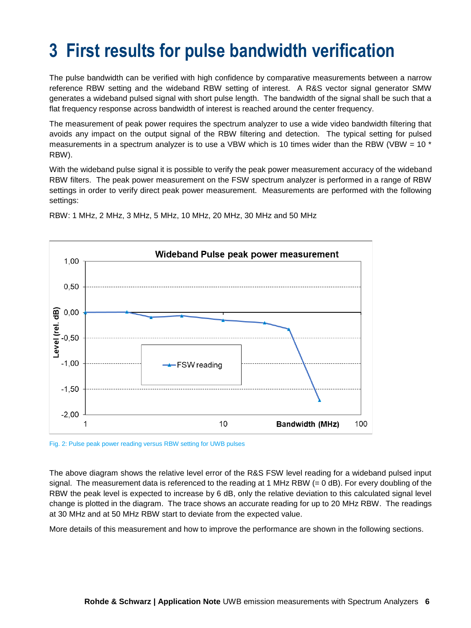### <span id="page-5-0"></span>**3 First results for pulse bandwidth verification**

The pulse bandwidth can be verified with high confidence by comparative measurements between a narrow reference RBW setting and the wideband RBW setting of interest. A R&S vector signal generator SMW generates a wideband pulsed signal with short pulse length. The bandwidth of the signal shall be such that a flat frequency response across bandwidth of interest is reached around the center frequency.

The measurement of peak power requires the spectrum analyzer to use a wide video bandwidth filtering that avoids any impact on the output signal of the RBW filtering and detection. The typical setting for pulsed measurements in a spectrum analyzer is to use a VBW which is 10 times wider than the RBW (VBW =  $10<sup>*</sup>$ RBW).

With the wideband pulse signal it is possible to verify the peak power measurement accuracy of the wideband RBW filters. The peak power measurement on the FSW spectrum analyzer is performed in a range of RBW settings in order to verify direct peak power measurement. Measurements are performed with the following settings:



RBW: 1 MHz, 2 MHz, 3 MHz, 5 MHz, 10 MHz, 20 MHz, 30 MHz and 50 MHz

Fig. 2: Pulse peak power reading versus RBW setting for UWB pulses

The above diagram shows the relative level error of the R&S FSW level reading for a wideband pulsed input signal. The measurement data is referenced to the reading at 1 MHz RBW (= 0 dB). For every doubling of the RBW the peak level is expected to increase by 6 dB, only the relative deviation to this calculated signal level change is plotted in the diagram. The trace shows an accurate reading for up to 20 MHz RBW. The readings at 30 MHz and at 50 MHz RBW start to deviate from the expected value.

More details of this measurement and how to improve the performance are shown in the following sections.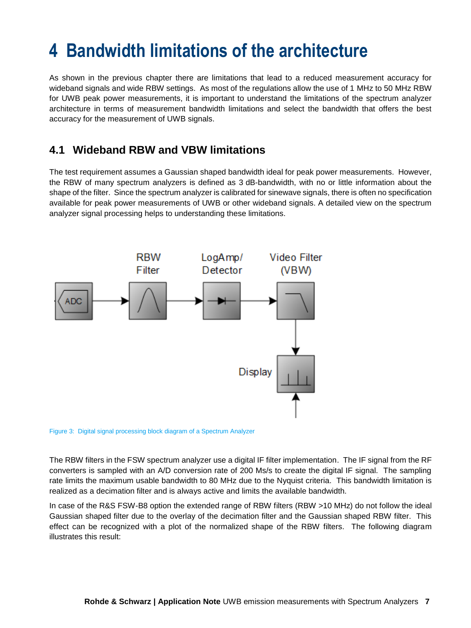### <span id="page-6-0"></span>**4 Bandwidth limitations of the architecture**

As shown in the previous chapter there are limitations that lead to a reduced measurement accuracy for wideband signals and wide RBW settings. As most of the regulations allow the use of 1 MHz to 50 MHz RBW for UWB peak power measurements, it is important to understand the limitations of the spectrum analyzer architecture in terms of measurement bandwidth limitations and select the bandwidth that offers the best accuracy for the measurement of UWB signals.

#### <span id="page-6-1"></span>**4.1 Wideband RBW and VBW limitations**

The test requirement assumes a Gaussian shaped bandwidth ideal for peak power measurements. However, the RBW of many spectrum analyzers is defined as 3 dB-bandwidth, with no or little information about the shape of the filter. Since the spectrum analyzer is calibrated for sinewave signals, there is often no specification available for peak power measurements of UWB or other wideband signals. A detailed view on the spectrum analyzer signal processing helps to understanding these limitations.



Figure 3: Digital signal processing block diagram of a Spectrum Analyzer

The RBW filters in the FSW spectrum analyzer use a digital IF filter implementation. The IF signal from the RF converters is sampled with an A/D conversion rate of 200 Ms/s to create the digital IF signal. The sampling rate limits the maximum usable bandwidth to 80 MHz due to the Nyquist criteria. This bandwidth limitation is realized as a decimation filter and is always active and limits the available bandwidth.

In case of the R&S FSW-B8 option the extended range of RBW filters (RBW >10 MHz) do not follow the ideal Gaussian shaped filter due to the overlay of the decimation filter and the Gaussian shaped RBW filter. This effect can be recognized with a plot of the normalized shape of the RBW filters. The following diagram illustrates this result: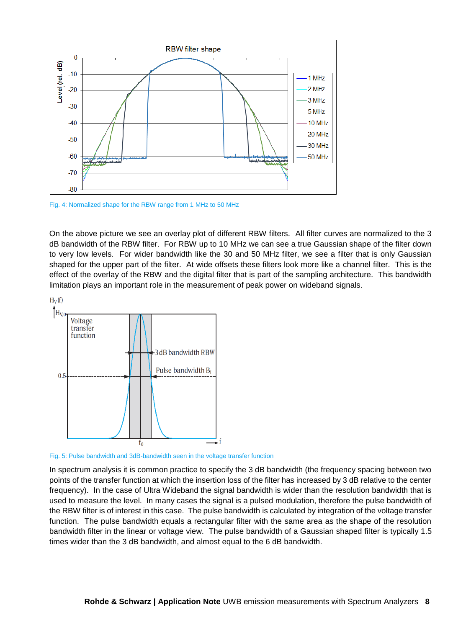

Fig. 4: Normalized shape for the RBW range from 1 MHz to 50 MHz

On the above picture we see an overlay plot of different RBW filters. All filter curves are normalized to the 3 dB bandwidth of the RBW filter. For RBW up to 10 MHz we can see a true Gaussian shape of the filter down to very low levels. For wider bandwidth like the 30 and 50 MHz filter, we see a filter that is only Gaussian shaped for the upper part of the filter. At wide offsets these filters look more like a channel filter. This is the effect of the overlay of the RBW and the digital filter that is part of the sampling architecture. This bandwidth limitation plays an important role in the measurement of peak power on wideband signals.



Fig. 5: Pulse bandwidth and 3dB-bandwidth seen in the voltage transfer function

In spectrum analysis it is common practice to specify the 3 dB bandwidth (the frequency spacing between two points of the transfer function at which the insertion loss of the filter has increased by 3 dB relative to the center frequency). In the case of Ultra Wideband the signal bandwidth is wider than the resolution bandwidth that is used to measure the level. In many cases the signal is a pulsed modulation, therefore the pulse bandwidth of the RBW filter is of interest in this case. The pulse bandwidth is calculated by integration of the voltage transfer function. The pulse bandwidth equals a rectangular filter with the same area as the shape of the resolution bandwidth filter in the linear or voltage view. The pulse bandwidth of a Gaussian shaped filter is typically 1.5 times wider than the 3 dB bandwidth, and almost equal to the 6 dB bandwidth.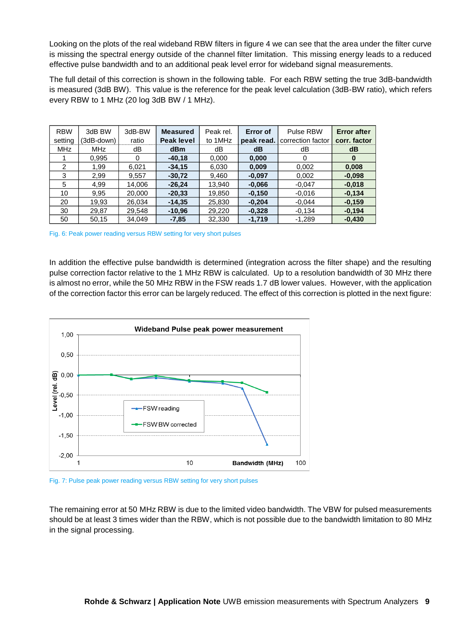Looking on the plots of the real wideband RBW filters in figure 4 we can see that the area under the filter curve is missing the spectral energy outside of the channel filter limitation. This missing energy leads to a reduced effective pulse bandwidth and to an additional peak level error for wideband signal measurements.

The full detail of this correction is shown in the following table. For each RBW setting the true 3dB-bandwidth is measured (3dB BW). This value is the reference for the peak level calculation (3dB-BW ratio), which refers every RBW to 1 MHz (20 log 3dB BW / 1 MHz).

| <b>RBW</b> | 3dB BW     | 3dB-BW | <b>Measured</b>   | Peak rel. | Error of   | Pulse RBW         | <b>Error after</b> |
|------------|------------|--------|-------------------|-----------|------------|-------------------|--------------------|
| setting    | (3dB-down) | ratio  | <b>Peak level</b> | to 1MHz   | peak read. | correction factor | corr. factor       |
| <b>MHz</b> | <b>MHz</b> | dB     | <b>dBm</b>        | dВ        | dB         | dВ                | dB                 |
|            | 0.995      | 0      | $-40,18$          | 0.000     | 0,000      | $\Omega$          | $\bf{0}$           |
| 2          | 1.99       | 6.021  | $-34,15$          | 6,030     | 0,009      | 0,002             | 0,008              |
| 3          | 2.99       | 9,557  | $-30,72$          | 9,460     | $-0.097$   | 0,002             | $-0.098$           |
| 5          | 4,99       | 14.006 | $-26.24$          | 13.940    | $-0.066$   | $-0.047$          | $-0.018$           |
| 10         | 9,95       | 20,000 | $-20.33$          | 19,850    | $-0,150$   | $-0.016$          | $-0.134$           |
| 20         | 19,93      | 26.034 | $-14.35$          | 25.830    | $-0.204$   | $-0.044$          | $-0.159$           |
| 30         | 29,87      | 29,548 | $-10.96$          | 29,220    | $-0,328$   | $-0,134$          | $-0.194$           |
| 50         | 50,15      | 34,049 | $-7,85$           | 32,330    | $-1,719$   | $-1,289$          | $-0,430$           |

Fig. 6: Peak power reading versus RBW setting for very short pulses

In addition the effective pulse bandwidth is determined (integration across the filter shape) and the resulting pulse correction factor relative to the 1 MHz RBW is calculated. Up to a resolution bandwidth of 30 MHz there is almost no error, while the 50 MHz RBW in the FSW reads 1.7 dB lower values. However, with the application of the correction factor this error can be largely reduced. The effect of this correction is plotted in the next figure:



Fig. 7: Pulse peak power reading versus RBW setting for very short pulses

The remaining error at 50 MHz RBW is due to the limited video bandwidth. The VBW for pulsed measurements should be at least 3 times wider than the RBW, which is not possible due to the bandwidth limitation to 80 MHz in the signal processing.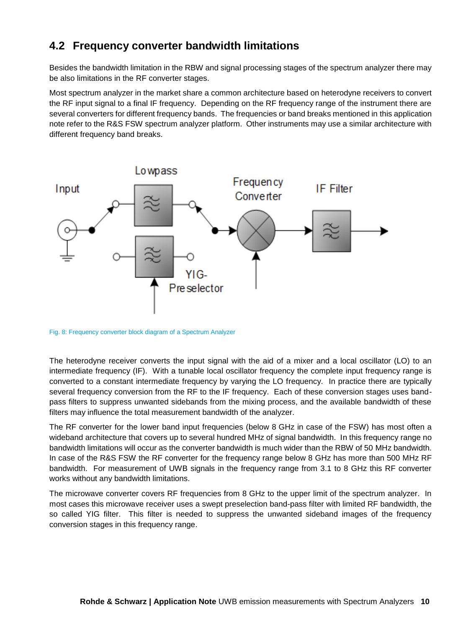#### <span id="page-9-0"></span>**4.2 Frequency converter bandwidth limitations**

Besides the bandwidth limitation in the RBW and signal processing stages of the spectrum analyzer there may be also limitations in the RF converter stages.

Most spectrum analyzer in the market share a common architecture based on heterodyne receivers to convert the RF input signal to a final IF frequency. Depending on the RF frequency range of the instrument there are several converters for different frequency bands. The frequencies or band breaks mentioned in this application note refer to the R&S FSW spectrum analyzer platform. Other instruments may use a similar architecture with different frequency band breaks.



Fig. 8: Frequency converter block diagram of a Spectrum Analyzer

The heterodyne receiver converts the input signal with the aid of a mixer and a local oscillator (LO) to an intermediate frequency (IF). With a tunable local oscillator frequency the complete input frequency range is converted to a constant intermediate frequency by varying the LO frequency. In practice there are typically several frequency conversion from the RF to the IF frequency. Each of these conversion stages uses bandpass filters to suppress unwanted sidebands from the mixing process, and the available bandwidth of these filters may influence the total measurement bandwidth of the analyzer.

The RF converter for the lower band input frequencies (below 8 GHz in case of the FSW) has most often a wideband architecture that covers up to several hundred MHz of signal bandwidth. In this frequency range no bandwidth limitations will occur as the converter bandwidth is much wider than the RBW of 50 MHz bandwidth. In case of the R&S FSW the RF converter for the frequency range below 8 GHz has more than 500 MHz RF bandwidth. For measurement of UWB signals in the frequency range from 3.1 to 8 GHz this RF converter works without any bandwidth limitations.

The microwave converter covers RF frequencies from 8 GHz to the upper limit of the spectrum analyzer. In most cases this microwave receiver uses a swept preselection band-pass filter with limited RF bandwidth, the so called YIG filter. This filter is needed to suppress the unwanted sideband images of the frequency conversion stages in this frequency range.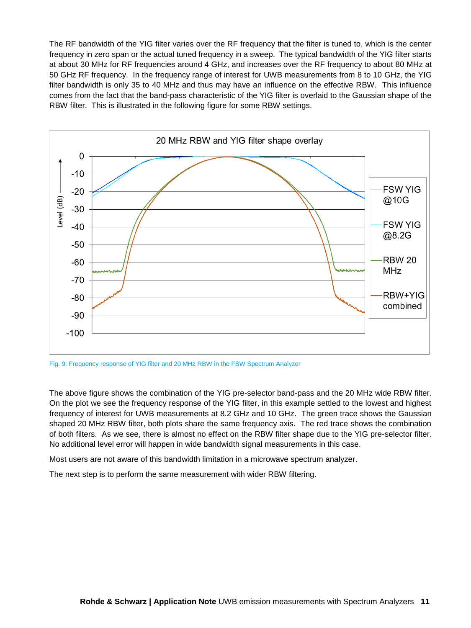The RF bandwidth of the YIG filter varies over the RF frequency that the filter is tuned to, which is the center frequency in zero span or the actual tuned frequency in a sweep. The typical bandwidth of the YIG filter starts at about 30 MHz for RF frequencies around 4 GHz, and increases over the RF frequency to about 80 MHz at 50 GHz RF frequency. In the frequency range of interest for UWB measurements from 8 to 10 GHz, the YIG filter bandwidth is only 35 to 40 MHz and thus may have an influence on the effective RBW. This influence comes from the fact that the band-pass characteristic of the YIG filter is overlaid to the Gaussian shape of the RBW filter. This is illustrated in the following figure for some RBW settings.



Fig. 9: Frequency response of YIG filter and 20 MHz RBW in the FSW Spectrum Analyzer

The above figure shows the combination of the YIG pre-selector band-pass and the 20 MHz wide RBW filter. On the plot we see the frequency response of the YIG filter, in this example settled to the lowest and highest frequency of interest for UWB measurements at 8.2 GHz and 10 GHz. The green trace shows the Gaussian shaped 20 MHz RBW filter, both plots share the same frequency axis. The red trace shows the combination of both filters. As we see, there is almost no effect on the RBW filter shape due to the YIG pre-selector filter. No additional level error will happen in wide bandwidth signal measurements in this case.

Most users are not aware of this bandwidth limitation in a microwave spectrum analyzer.

The next step is to perform the same measurement with wider RBW filtering.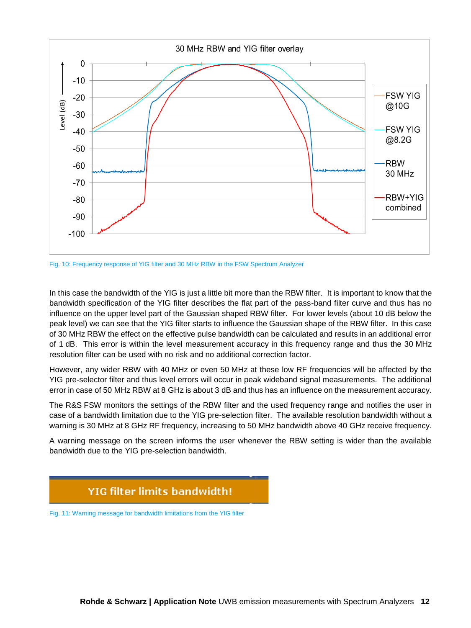

Fig. 10: Frequency response of YIG filter and 30 MHz RBW in the FSW Spectrum Analyzer

In this case the bandwidth of the YIG is just a little bit more than the RBW filter. It is important to know that the bandwidth specification of the YIG filter describes the flat part of the pass-band filter curve and thus has no influence on the upper level part of the Gaussian shaped RBW filter. For lower levels (about 10 dB below the peak level) we can see that the YIG filter starts to influence the Gaussian shape of the RBW filter. In this case of 30 MHz RBW the effect on the effective pulse bandwidth can be calculated and results in an additional error of 1 dB. This error is within the level measurement accuracy in this frequency range and thus the 30 MHz resolution filter can be used with no risk and no additional correction factor.

However, any wider RBW with 40 MHz or even 50 MHz at these low RF frequencies will be affected by the YIG pre-selector filter and thus level errors will occur in peak wideband signal measurements. The additional error in case of 50 MHz RBW at 8 GHz is about 3 dB and thus has an influence on the measurement accuracy.

The R&S FSW monitors the settings of the RBW filter and the used frequency range and notifies the user in case of a bandwidth limitation due to the YIG pre-selection filter. The available resolution bandwidth without a warning is 30 MHz at 8 GHz RF frequency, increasing to 50 MHz bandwidth above 40 GHz receive frequency.

A warning message on the screen informs the user whenever the RBW setting is wider than the available bandwidth due to the YIG pre-selection bandwidth.

#### **YIG filter limits bandwidth!**

Fig. 11: Warning message for bandwidth limitations from the YIG filter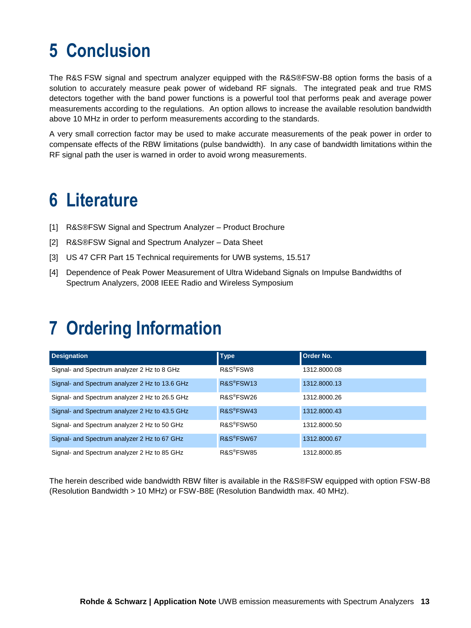### <span id="page-12-0"></span>**5 Conclusion**

The R&S FSW signal and spectrum analyzer equipped with the R&S®FSW-B8 option forms the basis of a solution to accurately measure peak power of wideband RF signals. The integrated peak and true RMS detectors together with the band power functions is a powerful tool that performs peak and average power measurements according to the regulations. An option allows to increase the available resolution bandwidth above 10 MHz in order to perform measurements according to the standards.

A very small correction factor may be used to make accurate measurements of the peak power in order to compensate effects of the RBW limitations (pulse bandwidth). In any case of bandwidth limitations within the RF signal path the user is warned in order to avoid wrong measurements.

### <span id="page-12-1"></span>**6 Literature**

- [1] R&S®FSW Signal and Spectrum Analyzer Product Brochure
- [2] R&S®FSW Signal and Spectrum Analyzer Data Sheet
- [3] US 47 CFR Part 15 Technical requirements for UWB systems, 15.517
- [4] Dependence of Peak Power Measurement of Ultra Wideband Signals on Impulse Bandwidths of Spectrum Analyzers, 2008 IEEE Radio and Wireless Symposium

### <span id="page-12-2"></span>**7 Ordering Information**

| <b>Designation</b>                             | <b>Type</b>            | <b>Order No.</b> |
|------------------------------------------------|------------------------|------------------|
| Signal- and Spectrum analyzer 2 Hz to 8 GHz    | R&S <sup>®</sup> FSW8  | 1312.8000.08     |
| Signal- and Spectrum analyzer 2 Hz to 13.6 GHz | R&S <sup>®</sup> FSW13 | 1312.8000.13     |
| Signal- and Spectrum analyzer 2 Hz to 26.5 GHz | R&S <sup>®</sup> FSW26 | 1312.8000.26     |
| Signal- and Spectrum analyzer 2 Hz to 43.5 GHz | R&S®FSW43              | 1312.8000.43     |
| Signal- and Spectrum analyzer 2 Hz to 50 GHz   | R&S <sup>®</sup> FSW50 | 1312.8000.50     |
| Signal- and Spectrum analyzer 2 Hz to 67 GHz   | R&S <sup>®</sup> FSW67 | 1312.8000.67     |
| Signal- and Spectrum analyzer 2 Hz to 85 GHz   | R&S <sup>®</sup> FSW85 | 1312.8000.85     |

The herein described wide bandwidth RBW filter is available in the R&S®FSW equipped with option FSW-B8 (Resolution Bandwidth > 10 MHz) or FSW-B8E (Resolution Bandwidth max. 40 MHz).